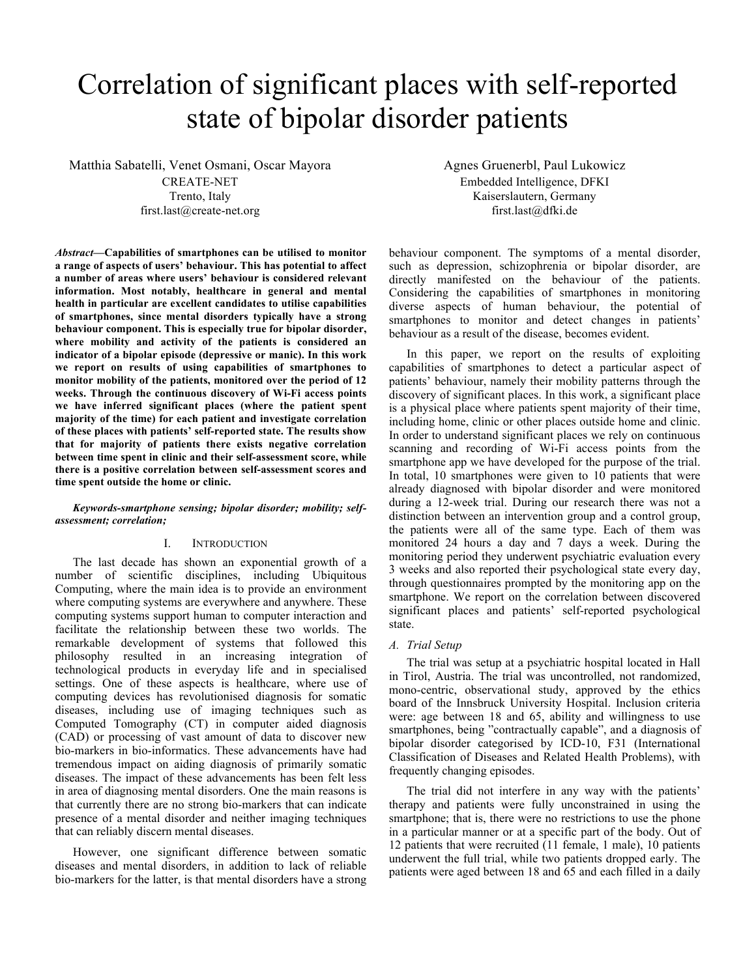# Correlation of significant places with self-reported state of bipolar disorder patients

Matthia Sabatelli, Venet Osmani, Oscar Mayora CREATE-NET Trento, Italy first.last@create-net.org

*Abstract***—Capabilities of smartphones can be utilised to monitor a range of aspects of users' behaviour. This has potential to affect a number of areas where users' behaviour is considered relevant information. Most notably, healthcare in general and mental health in particular are excellent candidates to utilise capabilities of smartphones, since mental disorders typically have a strong behaviour component. This is especially true for bipolar disorder, where mobility and activity of the patients is considered an indicator of a bipolar episode (depressive or manic). In this work we report on results of using capabilities of smartphones to monitor mobility of the patients, monitored over the period of 12 weeks. Through the continuous discovery of Wi-Fi access points we have inferred significant places (where the patient spent majority of the time) for each patient and investigate correlation of these places with patients' self-reported state. The results show that for majority of patients there exists negative correlation between time spent in clinic and their self-assessment score, while there is a positive correlation between self-assessment scores and time spent outside the home or clinic.**

## *Keywords-smartphone sensing; bipolar disorder; mobility; selfassessment; correlation;*

## I. INTRODUCTION

The last decade has shown an exponential growth of a number of scientific disciplines, including Ubiquitous Computing, where the main idea is to provide an environment where computing systems are everywhere and anywhere. These computing systems support human to computer interaction and facilitate the relationship between these two worlds. The remarkable development of systems that followed this philosophy resulted in an increasing integration of technological products in everyday life and in specialised settings. One of these aspects is healthcare, where use of computing devices has revolutionised diagnosis for somatic diseases, including use of imaging techniques such as Computed Tomography (CT) in computer aided diagnosis (CAD) or processing of vast amount of data to discover new bio-markers in bio-informatics. These advancements have had tremendous impact on aiding diagnosis of primarily somatic diseases. The impact of these advancements has been felt less in area of diagnosing mental disorders. One the main reasons is that currently there are no strong bio-markers that can indicate presence of a mental disorder and neither imaging techniques that can reliably discern mental diseases.

However, one significant difference between somatic diseases and mental disorders, in addition to lack of reliable bio-markers for the latter, is that mental disorders have a strong Agnes Gruenerbl, Paul Lukowicz Embedded Intelligence, DFKI Kaiserslautern, Germany first.last@dfki.de

behaviour component. The symptoms of a mental disorder, such as depression, schizophrenia or bipolar disorder, are directly manifested on the behaviour of the patients. Considering the capabilities of smartphones in monitoring diverse aspects of human behaviour, the potential of smartphones to monitor and detect changes in patients' behaviour as a result of the disease, becomes evident.

In this paper, we report on the results of exploiting capabilities of smartphones to detect a particular aspect of patients' behaviour, namely their mobility patterns through the discovery of significant places. In this work, a significant place is a physical place where patients spent majority of their time, including home, clinic or other places outside home and clinic. In order to understand significant places we rely on continuous scanning and recording of Wi-Fi access points from the smartphone app we have developed for the purpose of the trial. In total, 10 smartphones were given to 10 patients that were already diagnosed with bipolar disorder and were monitored during a 12-week trial. During our research there was not a distinction between an intervention group and a control group, the patients were all of the same type. Each of them was monitored 24 hours a day and 7 days a week. During the monitoring period they underwent psychiatric evaluation every 3 weeks and also reported their psychological state every day, through questionnaires prompted by the monitoring app on the smartphone. We report on the correlation between discovered significant places and patients' self-reported psychological state.

## *A. Trial Setup*

The trial was setup at a psychiatric hospital located in Hall in Tirol, Austria. The trial was uncontrolled, not randomized, mono-centric, observational study, approved by the ethics board of the Innsbruck University Hospital. Inclusion criteria were: age between 18 and 65, ability and willingness to use smartphones, being "contractually capable", and a diagnosis of bipolar disorder categorised by ICD-10, F31 (International Classification of Diseases and Related Health Problems), with frequently changing episodes.

The trial did not interfere in any way with the patients' therapy and patients were fully unconstrained in using the smartphone; that is, there were no restrictions to use the phone in a particular manner or at a specific part of the body. Out of 12 patients that were recruited (11 female, 1 male), 10 patients underwent the full trial, while two patients dropped early. The patients were aged between 18 and 65 and each filled in a daily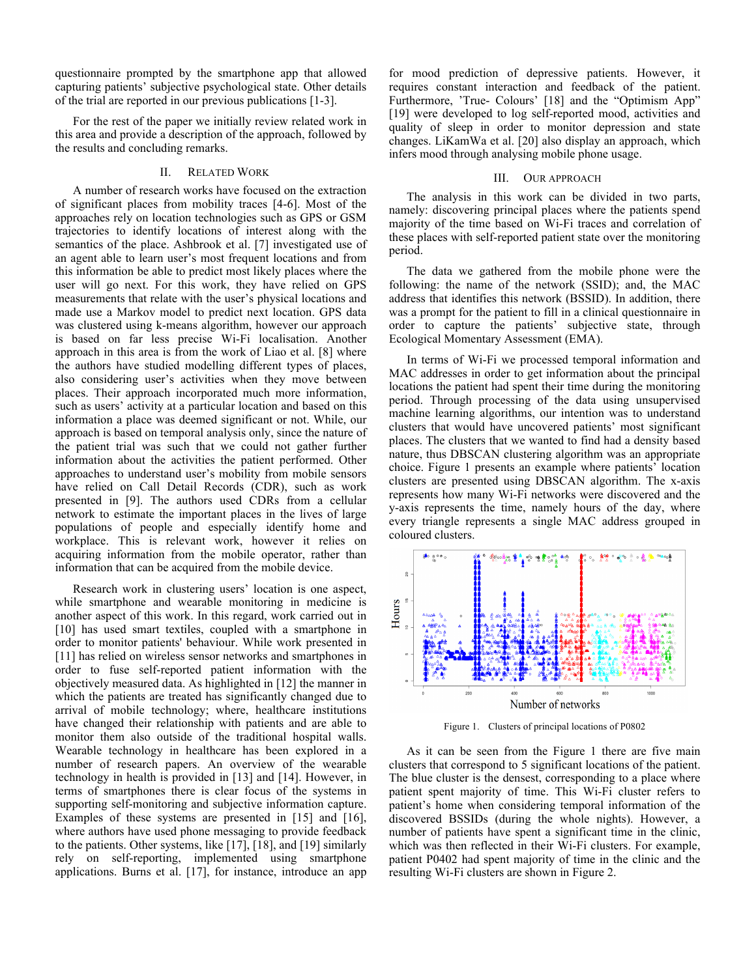questionnaire prompted by the smartphone app that allowed capturing patients' subjective psychological state. Other details of the trial are reported in our previous publications [1-3].

For the rest of the paper we initially review related work in this area and provide a description of the approach, followed by the results and concluding remarks.

#### II. RELATED WORK

A number of research works have focused on the extraction of significant places from mobility traces [4-6]. Most of the approaches rely on location technologies such as GPS or GSM trajectories to identify locations of interest along with the semantics of the place. Ashbrook et al. [7] investigated use of an agent able to learn user's most frequent locations and from this information be able to predict most likely places where the user will go next. For this work, they have relied on GPS measurements that relate with the user's physical locations and made use a Markov model to predict next location. GPS data was clustered using k-means algorithm, however our approach is based on far less precise Wi-Fi localisation. Another approach in this area is from the work of Liao et al. [8] where the authors have studied modelling different types of places, also considering user's activities when they move between places. Their approach incorporated much more information, such as users' activity at a particular location and based on this information a place was deemed significant or not. While, our approach is based on temporal analysis only, since the nature of the patient trial was such that we could not gather further information about the activities the patient performed. Other approaches to understand user's mobility from mobile sensors have relied on Call Detail Records (CDR), such as work presented in [9]. The authors used CDRs from a cellular network to estimate the important places in the lives of large populations of people and especially identify home and workplace. This is relevant work, however it relies on acquiring information from the mobile operator, rather than information that can be acquired from the mobile device.

Research work in clustering users' location is one aspect, while smartphone and wearable monitoring in medicine is another aspect of this work. In this regard, work carried out in [10] has used smart textiles, coupled with a smartphone in order to monitor patients' behaviour. While work presented in [11] has relied on wireless sensor networks and smartphones in order to fuse self-reported patient information with the objectively measured data. As highlighted in [12] the manner in which the patients are treated has significantly changed due to arrival of mobile technology; where, healthcare institutions have changed their relationship with patients and are able to monitor them also outside of the traditional hospital walls. Wearable technology in healthcare has been explored in a number of research papers. An overview of the wearable technology in health is provided in [13] and [14]. However, in terms of smartphones there is clear focus of the systems in supporting self-monitoring and subjective information capture. Examples of these systems are presented in [15] and [16], where authors have used phone messaging to provide feedback to the patients. Other systems, like [17], [18], and [19] similarly rely on self-reporting, implemented using smartphone applications. Burns et al. [17], for instance, introduce an app

for mood prediction of depressive patients. However, it requires constant interaction and feedback of the patient. Furthermore, 'True- Colours' [18] and the "Optimism App" [19] were developed to log self-reported mood, activities and quality of sleep in order to monitor depression and state changes. LiKamWa et al. [20] also display an approach, which infers mood through analysing mobile phone usage.

### III. OUR APPROACH

The analysis in this work can be divided in two parts, namely: discovering principal places where the patients spend majority of the time based on Wi-Fi traces and correlation of these places with self-reported patient state over the monitoring period.

The data we gathered from the mobile phone were the following: the name of the network (SSID); and, the MAC address that identifies this network (BSSID). In addition, there was a prompt for the patient to fill in a clinical questionnaire in order to capture the patients' subjective state, through Ecological Momentary Assessment (EMA).

In terms of Wi-Fi we processed temporal information and MAC addresses in order to get information about the principal locations the patient had spent their time during the monitoring period. Through processing of the data using unsupervised machine learning algorithms, our intention was to understand clusters that would have uncovered patients' most significant places. The clusters that we wanted to find had a density based nature, thus DBSCAN clustering algorithm was an appropriate choice. Figure 1 presents an example where patients' location clusters are presented using DBSCAN algorithm. The x-axis represents how many Wi-Fi networks were discovered and the y-axis represents the time, namely hours of the day, where every triangle represents a single MAC address grouped in coloured clusters.



Figure 1. Clusters of principal locations of P0802

As it can be seen from the Figure 1 there are five main clusters that correspond to 5 significant locations of the patient. The blue cluster is the densest, corresponding to a place where patient spent majority of time. This Wi-Fi cluster refers to patient's home when considering temporal information of the discovered BSSIDs (during the whole nights). However, a number of patients have spent a significant time in the clinic, which was then reflected in their Wi-Fi clusters. For example, patient P0402 had spent majority of time in the clinic and the resulting Wi-Fi clusters are shown in Figure 2.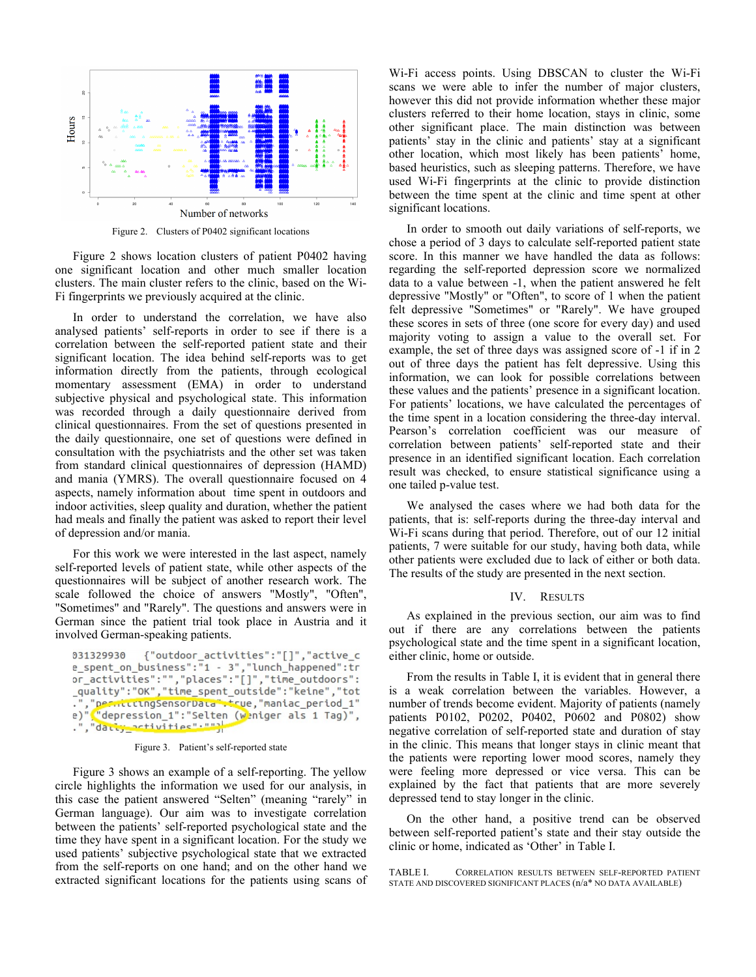

Figure 2. Clusters of P0402 significant locations

Figure 2 shows location clusters of patient P0402 having one significant location and other much smaller location clusters. The main cluster refers to the clinic, based on the Wi-Fi fingerprints we previously acquired at the clinic.

In order to understand the correlation, we have also analysed patients' self-reports in order to see if there is a correlation between the self-reported patient state and their significant location. The idea behind self-reports was to get information directly from the patients, through ecological momentary assessment (EMA) in order to understand subjective physical and psychological state. This information was recorded through a daily questionnaire derived from clinical questionnaires. From the set of questions presented in the daily questionnaire, one set of questions were defined in consultation with the psychiatrists and the other set was taken from standard clinical questionnaires of depression (HAMD) and mania (YMRS). The overall questionnaire focused on 4 aspects, namely information about time spent in outdoors and indoor activities, sleep quality and duration, whether the patient had meals and finally the patient was asked to report their level of depression and/or mania.

For this work we were interested in the last aspect, namely self-reported levels of patient state, while other aspects of the questionnaires will be subject of another research work. The scale followed the choice of answers "Mostly", "Often", "Sometimes" and "Rarely". The questions and answers were in German since the patient trial took place in Austria and it involved German-speaking patients.

```
{"outdoor activities":"[]"."active c
031329930
e spent on business":"1 - 3", "lunch happened":tr
or_activities":"","places":"[]","time_outdoors":
_quality":"OK","time_spent_outside":"keine","tot
-","pesiittungSensorData";True,"maniac_period_1"<br>e)"<mark>,"</mark>depression_1":"Selten (w<mark>eniger als 1 Tag)",</mark>
e)
.", "datty activities" . ""
```
Figure 3. Patient's self-reported state

Figure 3 shows an example of a self-reporting. The yellow circle highlights the information we used for our analysis, in this case the patient answered "Selten" (meaning "rarely" in German language). Our aim was to investigate correlation between the patients' self-reported psychological state and the time they have spent in a significant location. For the study we used patients' subjective psychological state that we extracted from the self-reports on one hand; and on the other hand we extracted significant locations for the patients using scans of Wi-Fi access points. Using DBSCAN to cluster the Wi-Fi scans we were able to infer the number of major clusters, however this did not provide information whether these major clusters referred to their home location, stays in clinic, some other significant place. The main distinction was between patients' stay in the clinic and patients' stay at a significant other location, which most likely has been patients' home, based heuristics, such as sleeping patterns. Therefore, we have used Wi-Fi fingerprints at the clinic to provide distinction between the time spent at the clinic and time spent at other significant locations.

In order to smooth out daily variations of self-reports, we chose a period of 3 days to calculate self-reported patient state score. In this manner we have handled the data as follows: regarding the self-reported depression score we normalized data to a value between -1, when the patient answered he felt depressive "Mostly" or "Often", to score of 1 when the patient felt depressive "Sometimes" or "Rarely". We have grouped these scores in sets of three (one score for every day) and used majority voting to assign a value to the overall set. For example, the set of three days was assigned score of -1 if in 2 out of three days the patient has felt depressive. Using this information, we can look for possible correlations between these values and the patients' presence in a significant location. For patients' locations, we have calculated the percentages of the time spent in a location considering the three-day interval. Pearson's correlation coefficient was our measure of correlation between patients' self-reported state and their presence in an identified significant location. Each correlation result was checked, to ensure statistical significance using a one tailed p-value test.

We analysed the cases where we had both data for the patients, that is: self-reports during the three-day interval and Wi-Fi scans during that period. Therefore, out of our 12 initial patients, 7 were suitable for our study, having both data, while other patients were excluded due to lack of either or both data. The results of the study are presented in the next section.

#### IV. RESULTS

As explained in the previous section, our aim was to find out if there are any correlations between the patients psychological state and the time spent in a significant location, either clinic, home or outside.

From the results in Table I, it is evident that in general there is a weak correlation between the variables. However, a number of trends become evident. Majority of patients (namely patients P0102, P0202, P0402, P0602 and P0802) show negative correlation of self-reported state and duration of stay in the clinic. This means that longer stays in clinic meant that the patients were reporting lower mood scores, namely they were feeling more depressed or vice versa. This can be explained by the fact that patients that are more severely depressed tend to stay longer in the clinic.

On the other hand, a positive trend can be observed between self-reported patient's state and their stay outside the clinic or home, indicated as 'Other' in Table I.

TABLE I. CORRELATION RESULTS BETWEEN SELF-REPORTED PATIENT STATE AND DISCOVERED SIGNIFICANT PLACES (n/a\* NO DATA AVAILABLE)